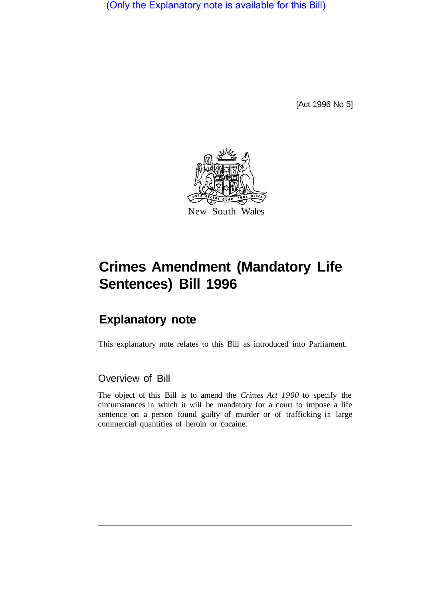(Only the Explanatory note is available for this Bill)

[Act 1996 No 5]



# **Crimes Amendment (Mandatory Life Sentences) Bill 1996**

## **Explanatory note**

This explanatory note relates to this Bill as introduced into Parliament.

### Overview of Bill

The object of this Bill is to amend the *Crimes Act 1900* to specify the circumstances in which it will be mandatory for a court to impose a life sentence on a person found guilty of murder or of trafficking in large commercial quantities of heroin or cocaine.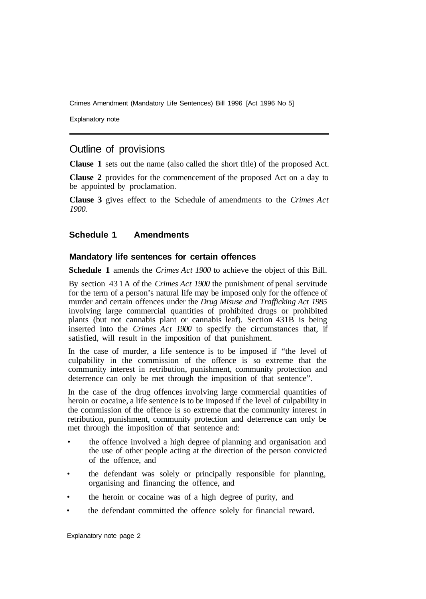Crimes Amendment (Mandatory Life Sentences) Bill 1996 [Act 1996 No 5]

Explanatory note

## Outline of provisions

**Clause 1** sets out the name (also called the short title) of the proposed Act.

**Clause 2** provides for the commencement of the proposed Act on a day to be appointed by proclamation.

**Clause 3** gives effect to the Schedule of amendments to the *Crimes Act 1900.* 

#### **Schedule 1 Amendments**

#### **Mandatory life sentences for certain offences**

**Schedule 1** amends the *Crimes Act 1900* to achieve the object of this Bill.

By section 43 1 A of the *Crimes Act 1900* the punishment of penal servitude for the term of a person's natural life may be imposed only for the offence of murder and certain offences under the *Drug Misuse and Trafficking Act 1985*  involving large commercial quantities of prohibited drugs or prohibited plants (but not cannabis plant or cannabis leaf). Section 431B is being inserted into the *Crimes Act 1900* to specify the circumstances that, if satisfied, will result in the imposition of that punishment.

In the case of murder, a life sentence is to be imposed if "the level of culpability in the commission of the offence is so extreme that the community interest in retribution, punishment, community protection and deterrence can only be met through the imposition of that sentence".

In the case of the drug offences involving large commercial quantities of heroin or cocaine, a life sentence is to be imposed if the level of culpability in the commission of the offence is so extreme that the community interest in retribution, punishment, community protection and deterrence can only be met through the imposition of that sentence and:

- the offence involved a high degree of planning and organisation and the use of other people acting at the direction of the person convicted of the offence, and
- the defendant was solely or principally responsible for planning, organising and financing the offence, and
- the heroin or cocaine was of a high degree of purity, and
- the defendant committed the offence solely for financial reward.